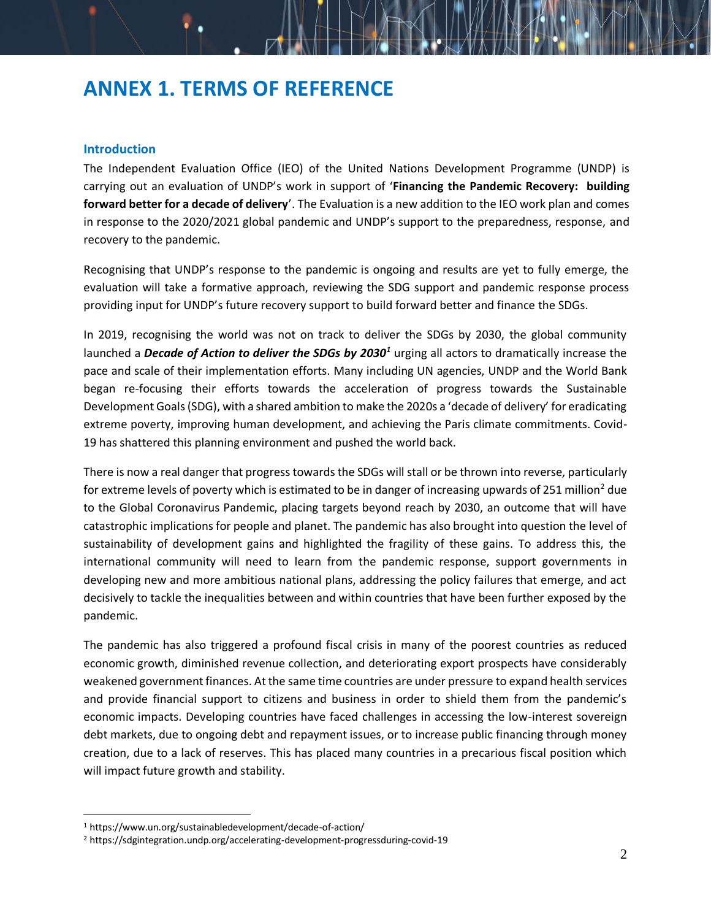# **ANNEX 1. TERMS OF REFERENCE**

#### **Introduction**

The Independent Evaluation Office (IEO) of the United Nations Development Programme (UNDP) is carrying out an evaluation of UNDP's work in support of '**Financing the Pandemic Recovery: building forward better for a decade of delivery**'. The Evaluation is a new addition to the IEO work plan and comes in response to the 2020/2021 global pandemic and UNDP's support to the preparedness, response, and recovery to the pandemic.

Recognising that UNDP's response to the pandemic is ongoing and results are yet to fully emerge, the evaluation will take a formative approach, reviewing the SDG support and pandemic response process providing input for UNDP's future recovery support to build forward better and finance the SDGs.

In 2019, recognising the world was not on track to deliver the SDGs by 2030, the global community launched a *Decade of Action to deliver the SDGs by 2030<sup>1</sup>* urging all actors to dramatically increase the pace and scale of their implementation efforts. Many including UN agencies, UNDP and the World Bank began re-focusing their efforts towards the acceleration of progress towards the Sustainable Development Goals (SDG), with a shared ambition to make the 2020s a 'decade of delivery' for eradicating extreme poverty, improving human development, and achieving the Paris climate commitments. Covid-19 has shattered this planning environment and pushed the world back.

There is now a real danger that progress towards the SDGs will stall or be thrown into reverse, particularly for extreme levels of poverty which is estimated to be in danger of increasing upwards of 251 million<sup>2</sup> due to the Global Coronavirus Pandemic, placing targets beyond reach by 2030, an outcome that will have catastrophic implications for people and planet. The pandemic has also brought into question the level of sustainability of development gains and highlighted the fragility of these gains. To address this, the international community will need to learn from the pandemic response, support governments in developing new and more ambitious national plans, addressing the policy failures that emerge, and act decisively to tackle the inequalities between and within countries that have been further exposed by the pandemic.

The pandemic has also triggered a profound fiscal crisis in many of the poorest countries as reduced economic growth, diminished revenue collection, and deteriorating export prospects have considerably weakened government finances. At the same time countries are under pressure to expand health services and provide financial support to citizens and business in order to shield them from the pandemic's economic impacts. Developing countries have faced challenges in accessing the low-interest sovereign debt markets, due to ongoing debt and repayment issues, or to increase public financing through money creation, due to a lack of reserves. This has placed many countries in a precarious fiscal position which will impact future growth and stability.

<sup>1</sup> https://www.un.org/sustainabledevelopment/decade-of-action/

<sup>2</sup> https://sdgintegration.undp.org/accelerating-development-progressduring-covid-19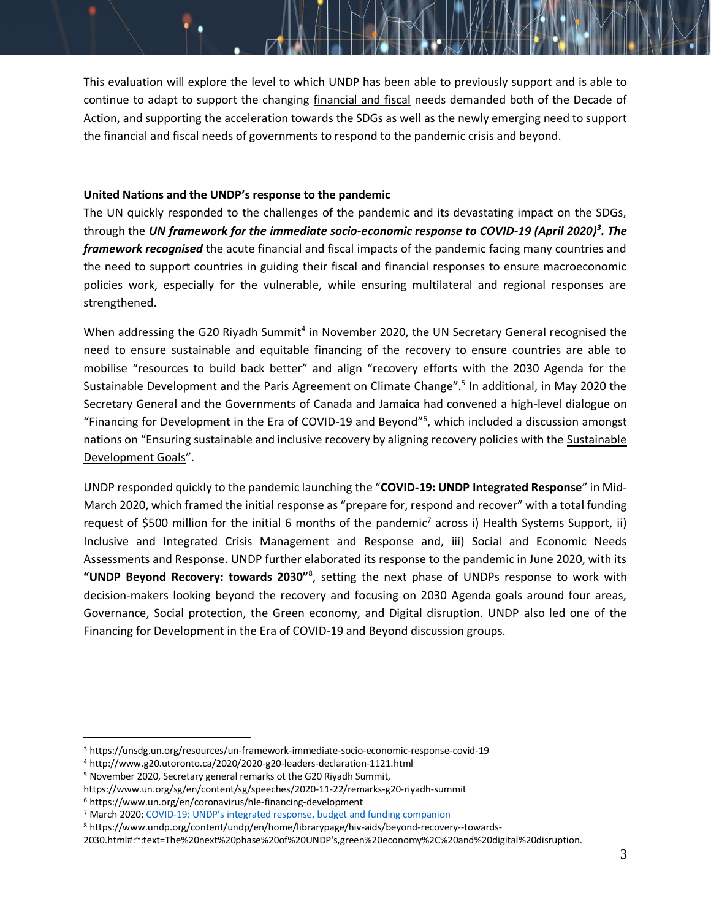This evaluation will explore the level to which UNDP has been able to previously support and is able to continue to adapt to support the changing financial and fiscal needs demanded both of the Decade of Action, and supporting the acceleration towards the SDGs as well as the newly emerging need to support the financial and fiscal needs of governments to respond to the pandemic crisis and beyond.

#### **United Nations and the UNDP's response to the pandemic**

The UN quickly responded to the challenges of the pandemic and its devastating impact on the SDGs, through the *UN framework for the immediate socio-economic response to COVID-19 (April 2020)<sup>3</sup> . The framework recognised* the acute financial and fiscal impacts of the pandemic facing many countries and the need to support countries in guiding their fiscal and financial responses to ensure macroeconomic policies work, especially for the vulnerable, while ensuring multilateral and regional responses are strengthened.

When addressing the G20 Riyadh Summit<sup>4</sup> in November 2020, the UN Secretary General recognised the need to ensure sustainable and equitable financing of the recovery to ensure countries are able to mobilise "resources to build back better" and align "recovery efforts with the 2030 Agenda for the Sustainable Development and the Paris Agreement on Climate Change".<sup>5</sup> In additional, in May 2020 the Secretary General and the Governments of Canada and Jamaica had convened a high-level dialogue on "Financing for Development in the Era of COVID-19 and Beyond"<sup>6</sup> , which included a discussion amongst nations on "Ensuring sustainable and inclusive recovery by aligning recovery policies with the Sustainable [Development Goals](https://www.un.org/sustainabledevelopment/sustainable-development-goals/)".

UNDP responded quickly to the pandemic launching the "**COVID-19: UNDP Integrated Response**" in Mid-March 2020, which framed the initial response as "prepare for, respond and recover" with a total funding request of \$500 million for the initial 6 months of the pandemic<sup>7</sup> across i) Health Systems Support, ii) Inclusive and Integrated Crisis Management and Response and, iii) Social and Economic Needs Assessments and Response. UNDP further elaborated its response to the pandemic in June 2020, with its **"UNDP Beyond Recovery: towards 2030"**<sup>8</sup> , setting the next phase of UNDPs response to work with decision-makers looking beyond the recovery and focusing on 2030 Agenda goals around four areas, Governance, Social protection, the Green economy, and Digital disruption. UNDP also led one of the Financing for Development in the Era of COVID-19 and Beyond discussion groups.

<sup>3</sup> https://unsdg.un.org/resources/un-framework-immediate-socio-economic-response-covid-19

<sup>4</sup> http://www.g20.utoronto.ca/2020/2020-g20-leaders-declaration-1121.html

<sup>5</sup> November 2020, Secretary general remarks ot the G20 Riyadh Summit,

https://www.un.org/sg/en/content/sg/speeches/2020-11-22/remarks-g20-riyadh-summit

<sup>6</sup> https://www.un.org/en/coronavirus/hle-financing-development

<sup>&</sup>lt;sup>7</sup> March 2020: COVID-[19: UNDP's integrated response, budget and fun](https://www.undp.org/content/dam/undp/library/corporate/PG_Brochures/2020/undp-COVID-19_UNDP_Integrated_Response_Budget_and_Funding_Companion.pdf)ding companion

<sup>8</sup> https://www.undp.org/content/undp/en/home/librarypage/hiv-aids/beyond-recovery--towards-

<sup>2030.</sup>html#:~:text=The%20next%20phase%20of%20UNDP's,green%20economy%2C%20and%20digital%20disruption.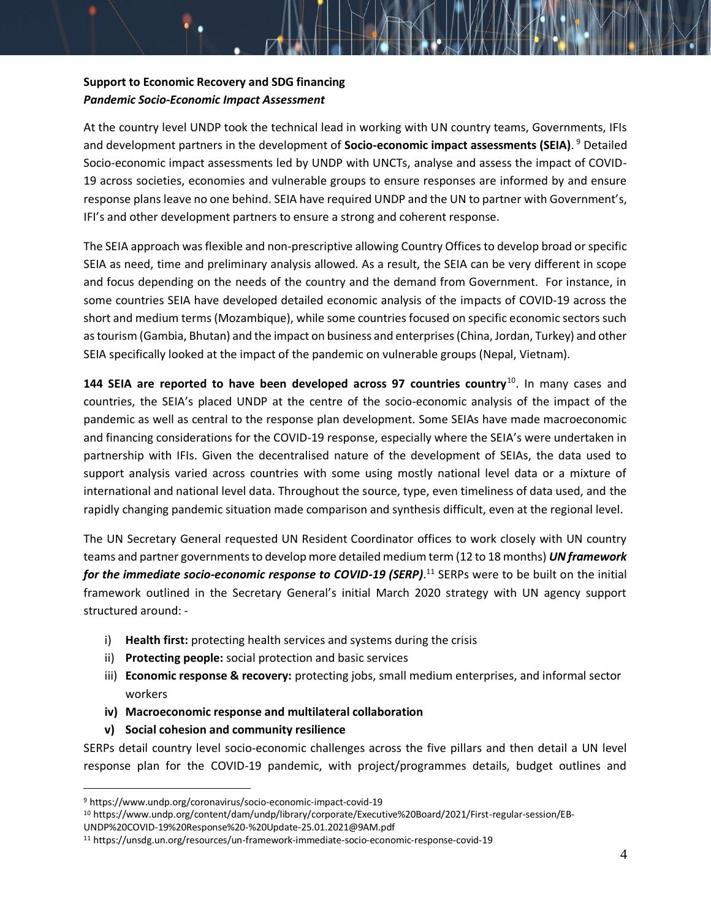# **Support to Economic Recovery and SDG financing** *Pandemic Socio-Economic Impact Assessment*

At the country level UNDP took the technical lead in working with UN country teams, Governments, IFIs and development partners in the development of **Socio-economic impact assessments (SEIA)**. <sup>9</sup> Detailed Socio-economic impact assessments led by UNDP with UNCTs, analyse and assess the impact of COVID-19 across societies, economies and vulnerable groups to ensure responses are informed by and ensure response plans leave no one behind. SEIA have required UNDP and the UN to partner with Government's, IFI's and other development partners to ensure a strong and coherent response.

The SEIA approach was flexible and non-prescriptive allowing Country Offices to develop broad or specific SEIA as need, time and preliminary analysis allowed. As a result, the SEIA can be very different in scope and focus depending on the needs of the country and the demand from Government. For instance, in some countries SEIA have developed detailed economic analysis of the impacts of COVID-19 across the short and medium terms (Mozambique), while some countries focused on specific economic sectors such as tourism (Gambia, Bhutan) and the impact on business and enterprises (China, Jordan, Turkey) and other SEIA specifically looked at the impact of the pandemic on vulnerable groups (Nepal, Vietnam).

144 SEIA are reported to have been developed across 97 countries country<sup>10</sup>. In many cases and countries, the SEIA's placed UNDP at the centre of the socio-economic analysis of the impact of the pandemic as well as central to the response plan development. Some SEIAs have made macroeconomic and financing considerations for the COVID-19 response, especially where the SEIA's were undertaken in partnership with IFIs. Given the decentralised nature of the development of SEIAs, the data used to support analysis varied across countries with some using mostly national level data or a mixture of international and national level data. Throughout the source, type, even timeliness of data used, and the rapidly changing pandemic situation made comparison and synthesis difficult, even at the regional level.

The UN Secretary General requested UN Resident Coordinator offices to work closely with UN country teams and partner governments to develop more detailed medium term (12 to 18 months) *UN framework*  for the immediate socio-economic response to COVID-19 (SERP).<sup>11</sup> SERPs were to be built on the initial framework outlined in the Secretary General's initial March 2020 strategy with UN agency support structured around: -

- i) **Health first:** protecting health services and systems during the crisis
- ii) **Protecting people:** social protection and basic services
- iii) **Economic response & recovery:** protecting jobs, small medium enterprises, and informal sector workers
- **iv) Macroeconomic response and multilateral collaboration**
- **v) Social cohesion and community resilience**

SERPs detail country level socio-economic challenges across the five pillars and then detail a UN level response plan for the COVID-19 pandemic, with project/programmes details, budget outlines and

<sup>9</sup> https://www.undp.org/coronavirus/socio-economic-impact-covid-19

<sup>10</sup> https://www.undp.org/content/dam/undp/library/corporate/Executive%20Board/2021/First-regular-session/EB-

UNDP%20COVID-19%20Response%20-%20Update-25.01.2021@9AM.pdf

<sup>11</sup> https://unsdg.un.org/resources/un-framework-immediate-socio-economic-response-covid-19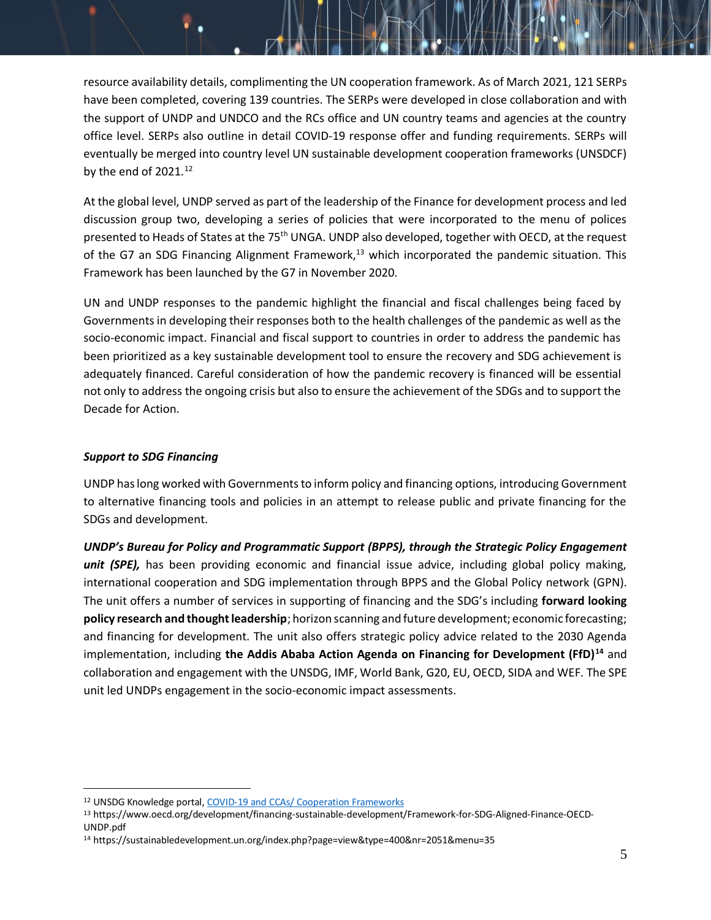resource availability details, complimenting the UN cooperation framework. As of March 2021, 121 SERPs have been completed, covering 139 countries. The SERPs were developed in close collaboration and with the support of UNDP and UNDCO and the RCs office and UN country teams and agencies at the country office level. SERPs also outline in detail COVID-19 response offer and funding requirements. SERPs will eventually be merged into country level UN sustainable development cooperation frameworks (UNSDCF) by the end of  $2021.<sup>12</sup>$ 

At the global level, UNDP served as part of the leadership of the Finance for development process and led discussion group two, developing a series of policies that were incorporated to the menu of polices presented to Heads of States at the 75<sup>th</sup> UNGA. UNDP also developed, together with OECD, at the request of the G7 an SDG Financing Alignment Framework,<sup>13</sup> which incorporated the pandemic situation. This Framework has been launched by the G7 in November 2020.

UN and UNDP responses to the pandemic highlight the financial and fiscal challenges being faced by Governments in developing their responses both to the health challenges of the pandemic as well as the socio-economic impact. Financial and fiscal support to countries in order to address the pandemic has been prioritized as a key sustainable development tool to ensure the recovery and SDG achievement is adequately financed. Careful consideration of how the pandemic recovery is financed will be essential not only to address the ongoing crisis but also to ensure the achievement of the SDGs and to support the Decade for Action.

#### *Support to SDG Financing*

UNDP has long worked with Governments to inform policy and financing options, introducing Government to alternative financing tools and policies in an attempt to release public and private financing for the SDGs and development.

*UNDP's Bureau for Policy and Programmatic Support (BPPS), through the Strategic Policy Engagement unit (SPE),* has been providing economic and financial issue advice, including global policy making, international cooperation and SDG implementation through BPPS and the Global Policy network (GPN). The unit offers a number of services in supporting of financing and the SDG's including **forward looking policy research and thought leadership**; horizon scanning and future development; economic forecasting; and financing for development. The unit also offers strategic policy advice related to the 2030 Agenda implementation, including **the Addis Ababa Action Agenda on Financing for Development (FfD)<sup>14</sup>** and collaboration and engagement with the UNSDG, IMF, World Bank, G20, EU, OECD, SIDA and WEF. The SPE unit led UNDPs engagement in the socio-economic impact assessments.

<sup>12</sup> UNSDG Knowledge portal[, COVID-19 and CCAs/ Cooperation Frameworks](https://unitednations.sharepoint.com/sites/DCO-WG-UNSDG_CF/SitePages/CF-COVID.aspx)

<sup>13</sup> https://www.oecd.org/development/financing-sustainable-development/Framework-for-SDG-Aligned-Finance-OECD-UNDP.pdf

<sup>14</sup> https://sustainabledevelopment.un.org/index.php?page=view&type=400&nr=2051&menu=35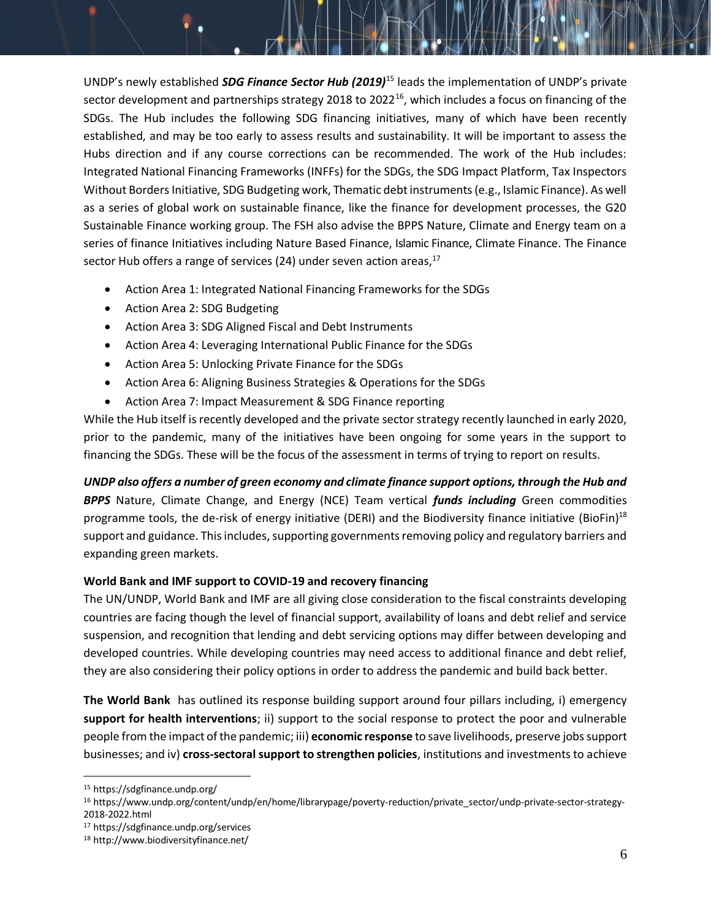UNDP's newly established *SDG Finance Sector Hub (2019)*<sup>15</sup> leads the implementation of UNDP's private sector development and partnerships strategy 2018 to 2022<sup>16</sup>, which includes a focus on financing of the SDGs. The Hub includes the following SDG financing initiatives, many of which have been recently established, and may be too early to assess results and sustainability. It will be important to assess the Hubs direction and if any course corrections can be recommended. The work of the Hub includes: Integrated National Financing Frameworks (INFFs) for the SDGs, the SDG Impact Platform, Tax Inspectors Without Borders Initiative, SDG Budgeting work, Thematic debt instruments (e.g., Islamic Finance). As well as a series of global work on sustainable finance, like the finance for development processes, the G20 Sustainable Finance working group. The FSH also advise the BPPS Nature, Climate and Energy team on a series of finance Initiatives including Nature Based Finance, Islamic Finance, Climate Finance. The Finance sector Hub offers a range of services (24) under seven action areas, $17$ 

- Action Area 1: Integrated National Financing Frameworks for the SDGs
- Action Area 2: SDG Budgeting
- Action Area 3: SDG Aligned Fiscal and Debt Instruments
- Action Area 4: Leveraging International Public Finance for the SDGs
- Action Area 5: Unlocking Private Finance for the SDGs
- Action Area 6: Aligning Business Strategies & Operations for the SDGs
- Action Area 7: Impact Measurement & SDG Finance reporting

While the Hub itself is recently developed and the private sector strategy recently launched in early 2020, prior to the pandemic, many of the initiatives have been ongoing for some years in the support to financing the SDGs. These will be the focus of the assessment in terms of trying to report on results.

*UNDP also offers a number of green economy and climate finance support options, through the Hub and BPPS* Nature, Climate Change, and Energy (NCE) Team vertical *funds including* Green commodities programme tools, the de-risk of energy initiative (DERI) and the Biodiversity finance initiative (BioFin)<sup>18</sup> support and guidance. This includes, supporting governments removing policy and regulatory barriers and expanding green markets.

## **World Bank and IMF support to COVID-19 and recovery financing**

The UN/UNDP, World Bank and IMF are all giving close consideration to the fiscal constraints developing countries are facing though the level of financial support, availability of loans and debt relief and service suspension, and recognition that lending and debt servicing options may differ between developing and developed countries. While developing countries may need access to additional finance and debt relief, they are also considering their policy options in order to address the pandemic and build back better.

**The World Bank** has outlined its response building support around four pillars including, i) emergency **support for health interventions**; ii) support to the social response to protect the poor and vulnerable people from the impact of the pandemic; iii) **economic response** to save livelihoods, preserve jobs support businesses; and iv) **cross-sectoral support to strengthen policies**, institutions and investments to achieve

<sup>17</sup> https://sdgfinance.undp.org/services

<sup>15</sup> https://sdgfinance.undp.org/

<sup>16</sup> https://www.undp.org/content/undp/en/home/librarypage/poverty-reduction/private\_sector/undp-private-sector-strategy-2018-2022.html

<sup>18</sup> http://www.biodiversityfinance.net/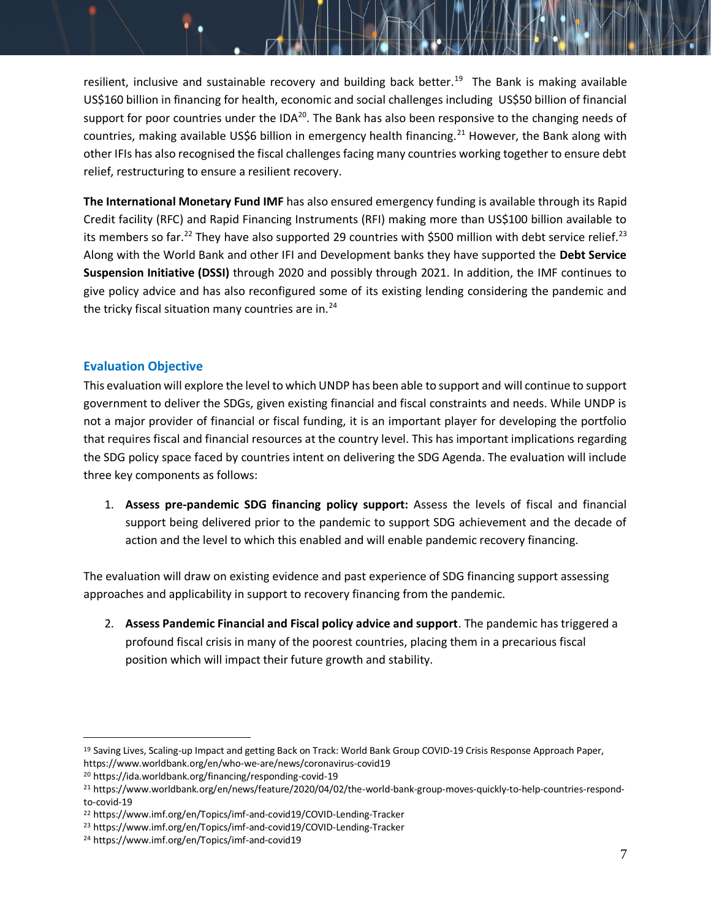resilient, inclusive and sustainable recovery and building back better.<sup>19</sup> The Bank is making available US\$160 billion in financing for health, economic and social challenges including US\$50 billion of financial support for poor countries under the  $IDA^{20}$ . The Bank has also been responsive to the changing needs of countries, making available US\$6 billion in emergency health financing.<sup>21</sup> However, the Bank along with other IFIs has also recognised the fiscal challenges facing many countries working together to ensure debt relief, restructuring to ensure a resilient recovery.

**The International Monetary Fund IMF** has also ensured emergency funding is available through its Rapid Credit facility (RFC) and Rapid Financing Instruments (RFI) making more than US\$100 billion available to its members so far.<sup>22</sup> They have also supported 29 countries with \$500 million with debt service relief.<sup>23</sup> Along with the World Bank and other IFI and Development banks they have supported the **Debt Service Suspension Initiative (DSSI)** through 2020 and possibly through 2021. In addition, the IMF continues to give policy advice and has also reconfigured some of its existing lending considering the pandemic and the tricky fiscal situation many countries are in. $^{24}$ 

## **Evaluation Objective**

This evaluation will explore the level to which UNDP has been able to support and will continue to support government to deliver the SDGs, given existing financial and fiscal constraints and needs. While UNDP is not a major provider of financial or fiscal funding, it is an important player for developing the portfolio that requires fiscal and financial resources at the country level. This has important implications regarding the SDG policy space faced by countries intent on delivering the SDG Agenda. The evaluation will include three key components as follows:

1. **Assess pre-pandemic SDG financing policy support:** Assess the levels of fiscal and financial support being delivered prior to the pandemic to support SDG achievement and the decade of action and the level to which this enabled and will enable pandemic recovery financing.

The evaluation will draw on existing evidence and past experience of SDG financing support assessing approaches and applicability in support to recovery financing from the pandemic.

2. **Assess Pandemic Financial and Fiscal policy advice and support**. The pandemic has triggered a profound fiscal crisis in many of the poorest countries, placing them in a precarious fiscal position which will impact their future growth and stability.

<sup>&</sup>lt;sup>19</sup> Saving Lives, Scaling-up Impact and getting Back on Track: World Bank Group COVID-19 Crisis Response Approach Paper, https://www.worldbank.org/en/who-we-are/news/coronavirus-covid19

<sup>20</sup> https://ida.worldbank.org/financing/responding-covid-19

<sup>21</sup> https://www.worldbank.org/en/news/feature/2020/04/02/the-world-bank-group-moves-quickly-to-help-countries-respondto-covid-19

<sup>22</sup> https://www.imf.org/en/Topics/imf-and-covid19/COVID-Lending-Tracker

<sup>23</sup> https://www.imf.org/en/Topics/imf-and-covid19/COVID-Lending-Tracker

<sup>24</sup> https://www.imf.org/en/Topics/imf-and-covid19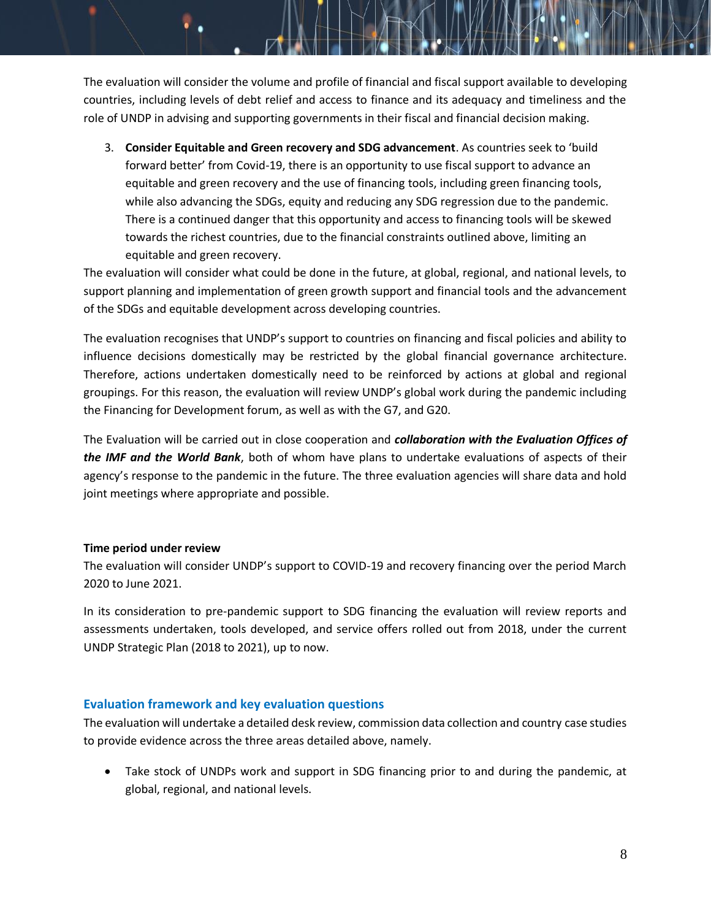The evaluation will consider the volume and profile of financial and fiscal support available to developing countries, including levels of debt relief and access to finance and its adequacy and timeliness and the role of UNDP in advising and supporting governments in their fiscal and financial decision making.

3. **Consider Equitable and Green recovery and SDG advancement**. As countries seek to 'build forward better' from Covid-19, there is an opportunity to use fiscal support to advance an equitable and green recovery and the use of financing tools, including green financing tools, while also advancing the SDGs, equity and reducing any SDG regression due to the pandemic. There is a continued danger that this opportunity and access to financing tools will be skewed towards the richest countries, due to the financial constraints outlined above, limiting an equitable and green recovery.

The evaluation will consider what could be done in the future, at global, regional, and national levels, to support planning and implementation of green growth support and financial tools and the advancement of the SDGs and equitable development across developing countries.

The evaluation recognises that UNDP's support to countries on financing and fiscal policies and ability to influence decisions domestically may be restricted by the global financial governance architecture. Therefore, actions undertaken domestically need to be reinforced by actions at global and regional groupings. For this reason, the evaluation will review UNDP's global work during the pandemic including the Financing for Development forum, as well as with the G7, and G20.

The Evaluation will be carried out in close cooperation and *collaboration with the Evaluation Offices of the IMF and the World Bank*, both of whom have plans to undertake evaluations of aspects of their agency's response to the pandemic in the future. The three evaluation agencies will share data and hold joint meetings where appropriate and possible.

## **Time period under review**

The evaluation will consider UNDP's support to COVID-19 and recovery financing over the period March 2020 to June 2021.

In its consideration to pre-pandemic support to SDG financing the evaluation will review reports and assessments undertaken, tools developed, and service offers rolled out from 2018, under the current UNDP Strategic Plan (2018 to 2021), up to now.

## **Evaluation framework and key evaluation questions**

The evaluation will undertake a detailed desk review, commission data collection and country case studies to provide evidence across the three areas detailed above, namely.

• Take stock of UNDPs work and support in SDG financing prior to and during the pandemic, at global, regional, and national levels.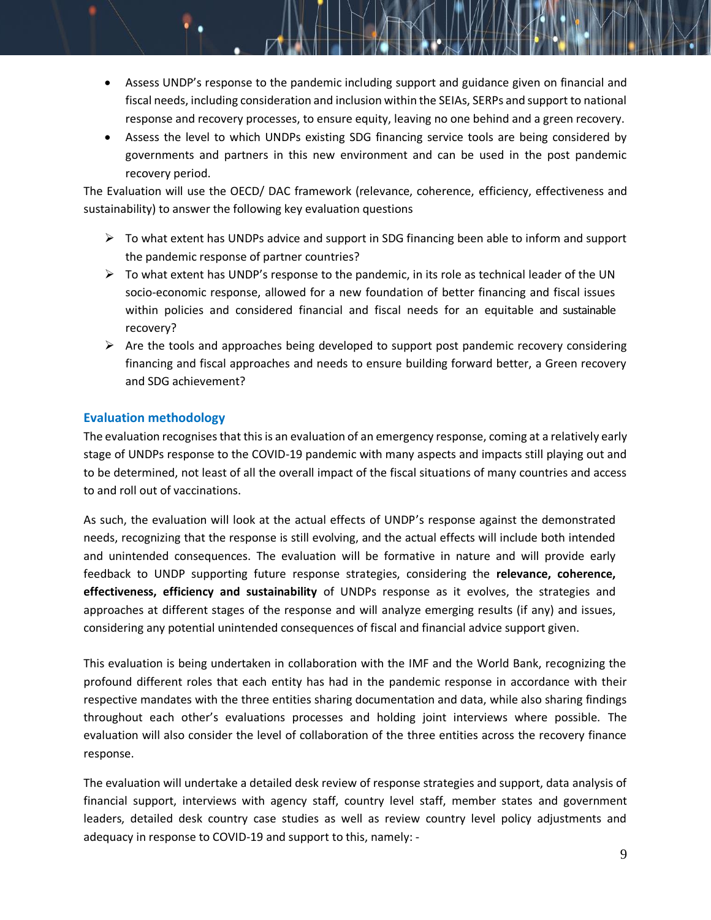- Assess UNDP's response to the pandemic including support and guidance given on financial and fiscal needs, including consideration and inclusion within the SEIAs, SERPs and support to national response and recovery processes, to ensure equity, leaving no one behind and a green recovery.
- Assess the level to which UNDPs existing SDG financing service tools are being considered by governments and partners in this new environment and can be used in the post pandemic recovery period.

The Evaluation will use the OECD/ DAC framework (relevance, coherence, efficiency, effectiveness and sustainability) to answer the following key evaluation questions

- $\triangleright$  To what extent has UNDPs advice and support in SDG financing been able to inform and support the pandemic response of partner countries?
- $\triangleright$  To what extent has UNDP's response to the pandemic, in its role as technical leader of the UN socio-economic response, allowed for a new foundation of better financing and fiscal issues within policies and considered financial and fiscal needs for an equitable and sustainable recovery?
- $\triangleright$  Are the tools and approaches being developed to support post pandemic recovery considering financing and fiscal approaches and needs to ensure building forward better, a Green recovery and SDG achievement?

## **Evaluation methodology**

The evaluation recognises that this is an evaluation of an emergency response, coming at a relatively early stage of UNDPs response to the COVID-19 pandemic with many aspects and impacts still playing out and to be determined, not least of all the overall impact of the fiscal situations of many countries and access to and roll out of vaccinations.

As such, the evaluation will look at the actual effects of UNDP's response against the demonstrated needs, recognizing that the response is still evolving, and the actual effects will include both intended and unintended consequences. The evaluation will be formative in nature and will provide early feedback to UNDP supporting future response strategies, considering the **relevance, coherence, effectiveness, efficiency and sustainability** of UNDPs response as it evolves, the strategies and approaches at different stages of the response and will analyze emerging results (if any) and issues, considering any potential unintended consequences of fiscal and financial advice support given.

This evaluation is being undertaken in collaboration with the IMF and the World Bank, recognizing the profound different roles that each entity has had in the pandemic response in accordance with their respective mandates with the three entities sharing documentation and data, while also sharing findings throughout each other's evaluations processes and holding joint interviews where possible. The evaluation will also consider the level of collaboration of the three entities across the recovery finance response.

The evaluation will undertake a detailed desk review of response strategies and support, data analysis of financial support, interviews with agency staff, country level staff, member states and government leaders, detailed desk country case studies as well as review country level policy adjustments and adequacy in response to COVID-19 and support to this, namely: -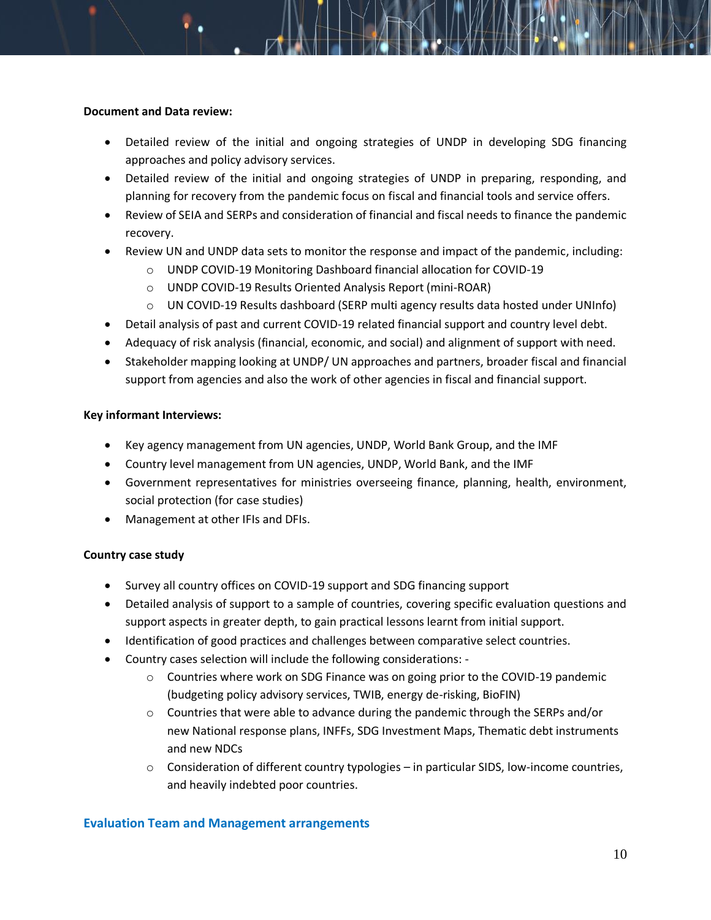#### **Document and Data review:**

- Detailed review of the initial and ongoing strategies of UNDP in developing SDG financing approaches and policy advisory services.
- Detailed review of the initial and ongoing strategies of UNDP in preparing, responding, and planning for recovery from the pandemic focus on fiscal and financial tools and service offers.
- Review of SEIA and SERPs and consideration of financial and fiscal needs to finance the pandemic recovery.
- Review UN and UNDP data sets to monitor the response and impact of the pandemic, including:
	- o UNDP COVID-19 Monitoring Dashboard financial allocation for COVID-19
	- o UNDP COVID-19 Results Oriented Analysis Report (mini-ROAR)
	- o UN COVID-19 Results dashboard (SERP multi agency results data hosted under UNInfo)
- Detail analysis of past and current COVID-19 related financial support and country level debt.
- Adequacy of risk analysis (financial, economic, and social) and alignment of support with need.
- Stakeholder mapping looking at UNDP/ UN approaches and partners, broader fiscal and financial support from agencies and also the work of other agencies in fiscal and financial support.

#### **Key informant Interviews:**

- Key agency management from UN agencies, UNDP, World Bank Group, and the IMF
- Country level management from UN agencies, UNDP, World Bank, and the IMF
- Government representatives for ministries overseeing finance, planning, health, environment, social protection (for case studies)
- Management at other IFIs and DFIs.

#### **Country case study**

- Survey all country offices on COVID-19 support and SDG financing support
- Detailed analysis of support to a sample of countries, covering specific evaluation questions and support aspects in greater depth, to gain practical lessons learnt from initial support.
- Identification of good practices and challenges between comparative select countries.
- Country cases selection will include the following considerations:
	- o Countries where work on SDG Finance was on going prior to the COVID-19 pandemic (budgeting policy advisory services, TWIB, energy de-risking, BioFIN)
	- $\circ$  Countries that were able to advance during the pandemic through the SERPs and/or new National response plans, INFFs, SDG Investment Maps, Thematic debt instruments and new NDCs
	- o Consideration of different country typologies in particular SIDS, low-income countries, and heavily indebted poor countries.

#### **Evaluation Team and Management arrangements**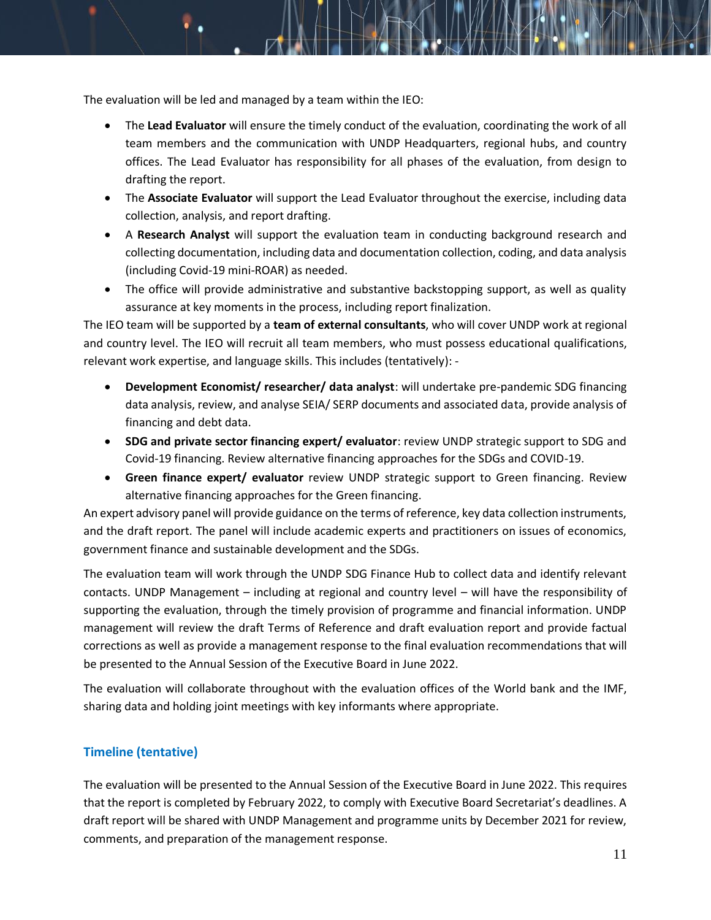The evaluation will be led and managed by a team within the IEO:

- The **Lead Evaluator** will ensure the timely conduct of the evaluation, coordinating the work of all team members and the communication with UNDP Headquarters, regional hubs, and country offices. The Lead Evaluator has responsibility for all phases of the evaluation, from design to drafting the report.
- The **Associate Evaluator** will support the Lead Evaluator throughout the exercise, including data collection, analysis, and report drafting.
- A **Research Analyst** will support the evaluation team in conducting background research and collecting documentation, including data and documentation collection, coding, and data analysis (including Covid-19 mini-ROAR) as needed.
- The office will provide administrative and substantive backstopping support, as well as quality assurance at key moments in the process, including report finalization.

The IEO team will be supported by a **team of external consultants**, who will cover UNDP work at regional and country level. The IEO will recruit all team members, who must possess educational qualifications, relevant work expertise, and language skills. This includes (tentatively): -

- **Development Economist/ researcher/ data analyst**: will undertake pre-pandemic SDG financing data analysis, review, and analyse SEIA/ SERP documents and associated data, provide analysis of financing and debt data.
- **SDG and private sector financing expert/ evaluator**: review UNDP strategic support to SDG and Covid-19 financing. Review alternative financing approaches for the SDGs and COVID-19.
- **Green finance expert/ evaluator** review UNDP strategic support to Green financing. Review alternative financing approaches for the Green financing.

An expert advisory panel will provide guidance on the terms of reference, key data collection instruments, and the draft report. The panel will include academic experts and practitioners on issues of economics, government finance and sustainable development and the SDGs.

The evaluation team will work through the UNDP SDG Finance Hub to collect data and identify relevant contacts. UNDP Management – including at regional and country level – will have the responsibility of supporting the evaluation, through the timely provision of programme and financial information. UNDP management will review the draft Terms of Reference and draft evaluation report and provide factual corrections as well as provide a management response to the final evaluation recommendations that will be presented to the Annual Session of the Executive Board in June 2022.

The evaluation will collaborate throughout with the evaluation offices of the World bank and the IMF, sharing data and holding joint meetings with key informants where appropriate.

# **Timeline (tentative)**

The evaluation will be presented to the Annual Session of the Executive Board in June 2022. This requires that the report is completed by February 2022, to comply with Executive Board Secretariat's deadlines. A draft report will be shared with UNDP Management and programme units by December 2021 for review, comments, and preparation of the management response.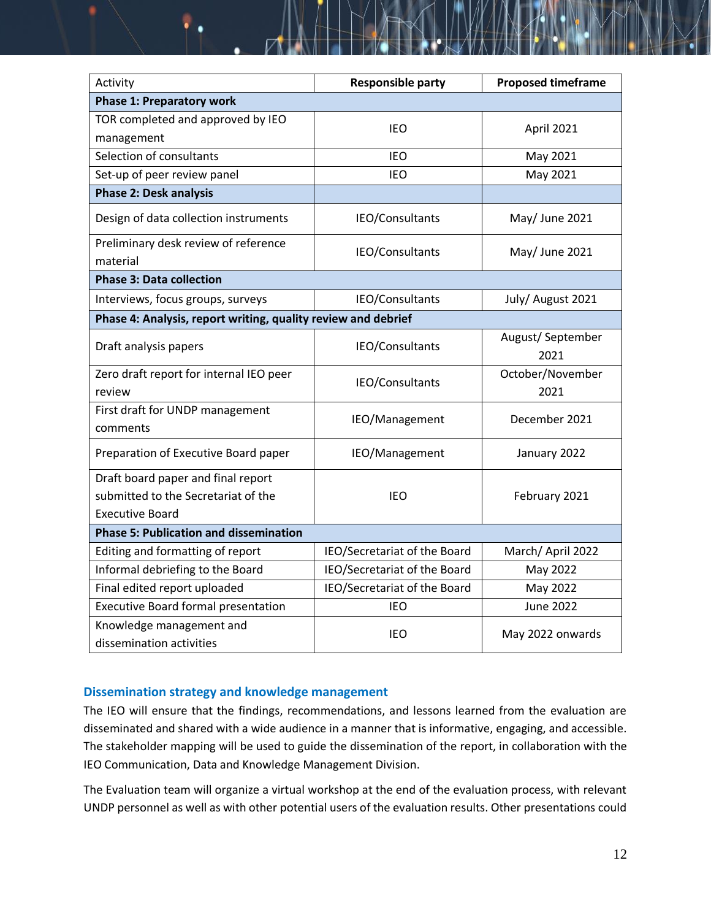| Activity                                                                                            | <b>Responsible party</b>     | <b>Proposed timeframe</b> |
|-----------------------------------------------------------------------------------------------------|------------------------------|---------------------------|
| <b>Phase 1: Preparatory work</b>                                                                    |                              |                           |
| TOR completed and approved by IEO<br>management                                                     | IEO                          | April 2021                |
| Selection of consultants                                                                            | <b>IEO</b>                   | May 2021                  |
| Set-up of peer review panel                                                                         | <b>IEO</b>                   | May 2021                  |
| <b>Phase 2: Desk analysis</b>                                                                       |                              |                           |
| Design of data collection instruments                                                               | IEO/Consultants              | May/ June 2021            |
| Preliminary desk review of reference<br>material                                                    | IEO/Consultants              | May/ June 2021            |
| <b>Phase 3: Data collection</b>                                                                     |                              |                           |
| Interviews, focus groups, surveys                                                                   | IEO/Consultants              | July/ August 2021         |
| Phase 4: Analysis, report writing, quality review and debrief                                       |                              |                           |
| Draft analysis papers                                                                               | IEO/Consultants              | August/September<br>2021  |
| Zero draft report for internal IEO peer<br>review                                                   | IEO/Consultants              | October/November<br>2021  |
| First draft for UNDP management<br>comments                                                         | IEO/Management               | December 2021             |
| Preparation of Executive Board paper                                                                | IEO/Management               | January 2022              |
| Draft board paper and final report<br>submitted to the Secretariat of the<br><b>Executive Board</b> | <b>IEO</b>                   | February 2021             |
| <b>Phase 5: Publication and dissemination</b>                                                       |                              |                           |
| Editing and formatting of report                                                                    | IEO/Secretariat of the Board | March/April 2022          |
| Informal debriefing to the Board                                                                    | IEO/Secretariat of the Board | May 2022                  |
| Final edited report uploaded                                                                        | IEO/Secretariat of the Board | May 2022                  |
| <b>Executive Board formal presentation</b>                                                          | IEO                          | <b>June 2022</b>          |
| Knowledge management and<br>dissemination activities                                                | IEO                          | May 2022 onwards          |

## **Dissemination strategy and knowledge management**

The IEO will ensure that the findings, recommendations, and lessons learned from the evaluation are disseminated and shared with a wide audience in a manner that is informative, engaging, and accessible. The stakeholder mapping will be used to guide the dissemination of the report, in collaboration with the IEO Communication, Data and Knowledge Management Division.

The Evaluation team will organize a virtual workshop at the end of the evaluation process, with relevant UNDP personnel as well as with other potential users of the evaluation results. Other presentations could